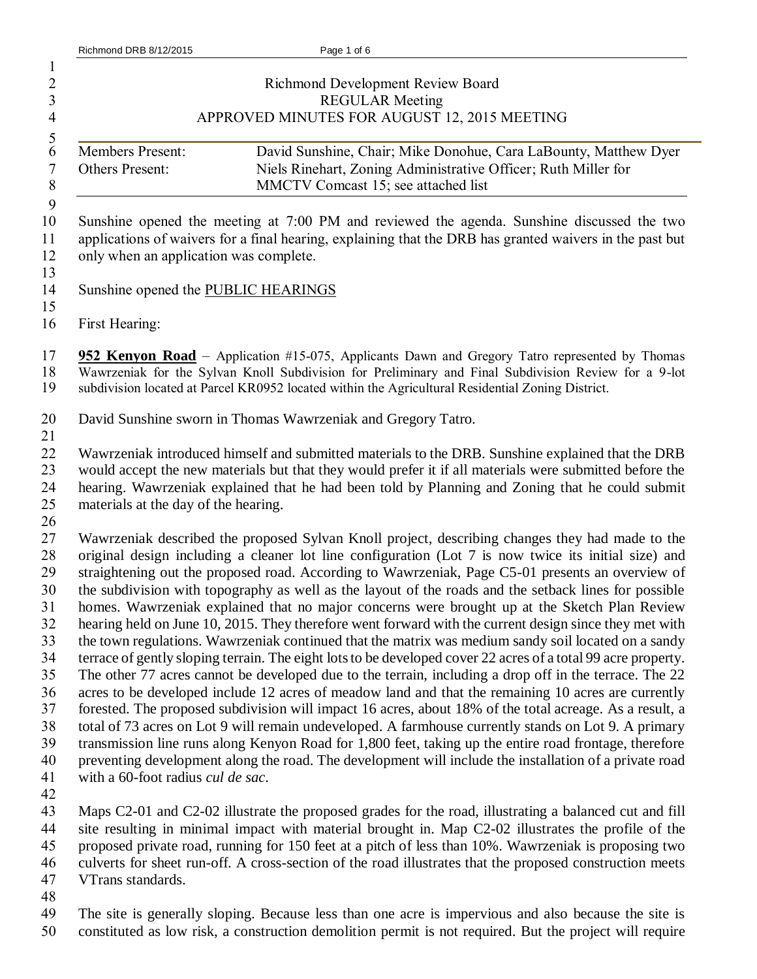| $\mathbf{1}$<br>$\frac{2}{3}$<br>$\overline{4}$                                                        | <b>Richmond Development Review Board</b><br><b>REGULAR Meeting</b><br>APPROVED MINUTES FOR AUGUST 12, 2015 MEETING                                                                                                                                                                                                                                                                                                                                                                                                                                                                                                                                                                                                                                                                                                                                                                                                                                                                                                                                                                                                                                                                                                                                                                                                                                                                                                                                                                                                                                  |
|--------------------------------------------------------------------------------------------------------|-----------------------------------------------------------------------------------------------------------------------------------------------------------------------------------------------------------------------------------------------------------------------------------------------------------------------------------------------------------------------------------------------------------------------------------------------------------------------------------------------------------------------------------------------------------------------------------------------------------------------------------------------------------------------------------------------------------------------------------------------------------------------------------------------------------------------------------------------------------------------------------------------------------------------------------------------------------------------------------------------------------------------------------------------------------------------------------------------------------------------------------------------------------------------------------------------------------------------------------------------------------------------------------------------------------------------------------------------------------------------------------------------------------------------------------------------------------------------------------------------------------------------------------------------------|
| $\frac{5}{6}$<br>$\boldsymbol{7}$<br>$\,$ $\,$                                                         | <b>Members Present:</b><br>David Sunshine, Chair; Mike Donohue, Cara LaBounty, Matthew Dyer<br>Niels Rinehart, Zoning Administrative Officer; Ruth Miller for<br>Others Present:<br>MMCTV Comcast 15; see attached list                                                                                                                                                                                                                                                                                                                                                                                                                                                                                                                                                                                                                                                                                                                                                                                                                                                                                                                                                                                                                                                                                                                                                                                                                                                                                                                             |
| 9<br>10<br>11<br>12<br>13                                                                              | Sunshine opened the meeting at 7:00 PM and reviewed the agenda. Sunshine discussed the two<br>applications of waivers for a final hearing, explaining that the DRB has granted waivers in the past but<br>only when an application was complete.                                                                                                                                                                                                                                                                                                                                                                                                                                                                                                                                                                                                                                                                                                                                                                                                                                                                                                                                                                                                                                                                                                                                                                                                                                                                                                    |
| 14<br>15                                                                                               | Sunshine opened the PUBLIC HEARINGS                                                                                                                                                                                                                                                                                                                                                                                                                                                                                                                                                                                                                                                                                                                                                                                                                                                                                                                                                                                                                                                                                                                                                                                                                                                                                                                                                                                                                                                                                                                 |
| 16                                                                                                     | First Hearing:                                                                                                                                                                                                                                                                                                                                                                                                                                                                                                                                                                                                                                                                                                                                                                                                                                                                                                                                                                                                                                                                                                                                                                                                                                                                                                                                                                                                                                                                                                                                      |
| 17<br>18<br>19                                                                                         | 952 Kenyon Road – Application #15-075, Applicants Dawn and Gregory Tatro represented by Thomas<br>Wawrzeniak for the Sylvan Knoll Subdivision for Preliminary and Final Subdivision Review for a 9-lot<br>subdivision located at Parcel KR0952 located within the Agricultural Residential Zoning District.                                                                                                                                                                                                                                                                                                                                                                                                                                                                                                                                                                                                                                                                                                                                                                                                                                                                                                                                                                                                                                                                                                                                                                                                                                         |
| 20<br>21                                                                                               | David Sunshine sworn in Thomas Wawrzeniak and Gregory Tatro.                                                                                                                                                                                                                                                                                                                                                                                                                                                                                                                                                                                                                                                                                                                                                                                                                                                                                                                                                                                                                                                                                                                                                                                                                                                                                                                                                                                                                                                                                        |
| 22<br>23<br>24<br>25                                                                                   | Wawrzeniak introduced himself and submitted materials to the DRB. Sunshine explained that the DRB<br>would accept the new materials but that they would prefer it if all materials were submitted before the<br>hearing. Wawrzeniak explained that he had been told by Planning and Zoning that he could submit<br>materials at the day of the hearing.                                                                                                                                                                                                                                                                                                                                                                                                                                                                                                                                                                                                                                                                                                                                                                                                                                                                                                                                                                                                                                                                                                                                                                                             |
| 26<br>27<br>$28\,$<br>29<br>30<br>31<br>32<br>33<br>34<br>35<br>36<br>37<br>38<br>39<br>40<br>41<br>42 | Wawrzeniak described the proposed Sylvan Knoll project, describing changes they had made to the<br>original design including a cleaner lot line configuration (Lot 7 is now twice its initial size) and<br>straightening out the proposed road. According to Wawrzeniak, Page C5-01 presents an overview of<br>the subdivision with topography as well as the layout of the roads and the setback lines for possible<br>homes. Wawrzeniak explained that no major concerns were brought up at the Sketch Plan Review<br>hearing held on June 10, 2015. They therefore went forward with the current design since they met with<br>the town regulations. Wawrzeniak continued that the matrix was medium sandy soil located on a sandy<br>terrace of gently sloping terrain. The eight lots to be developed cover 22 acres of a total 99 acre property.<br>The other 77 acres cannot be developed due to the terrain, including a drop off in the terrace. The 22<br>acres to be developed include 12 acres of meadow land and that the remaining 10 acres are currently<br>forested. The proposed subdivision will impact 16 acres, about 18% of the total acreage. As a result, a<br>total of 73 acres on Lot 9 will remain undeveloped. A farmhouse currently stands on Lot 9. A primary<br>transmission line runs along Kenyon Road for 1,800 feet, taking up the entire road frontage, therefore<br>preventing development along the road. The development will include the installation of a private road<br>with a 60-foot radius cul de sac. |
| 43<br>44<br>45<br>46<br>47<br>$\Delta$ <sup><math>\alpha</math></sup>                                  | Maps C2-01 and C2-02 illustrate the proposed grades for the road, illustrating a balanced cut and fill<br>site resulting in minimal impact with material brought in. Map C2-02 illustrates the profile of the<br>proposed private road, running for 150 feet at a pitch of less than 10%. Wawrzeniak is proposing two<br>culverts for sheet run-off. A cross-section of the road illustrates that the proposed construction meets<br>VTrans standards.                                                                                                                                                                                                                                                                                                                                                                                                                                                                                                                                                                                                                                                                                                                                                                                                                                                                                                                                                                                                                                                                                              |

48<br>49 The site is generally sloping. Because less than one acre is impervious and also because the site is constituted as low risk, a construction demolition permit is not required. But the project will require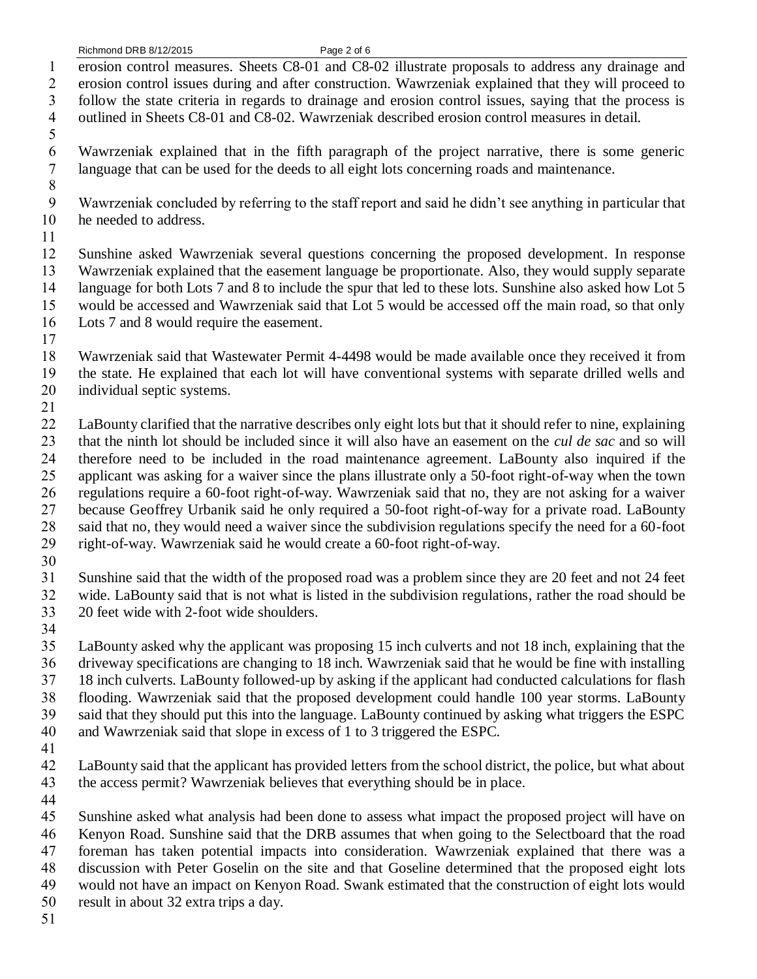erosion control measures. Sheets C8-01 and C8-02 illustrate proposals to address any drainage and erosion control issues during and after construction. Wawrzeniak explained that they will proceed to follow the state criteria in regards to drainage and erosion control issues, saying that the process is

outlined in Sheets C8-01 and C8-02. Wawrzeniak described erosion control measures in detail.

 Wawrzeniak explained that in the fifth paragraph of the project narrative, there is some generic language that can be used for the deeds to all eight lots concerning roads and maintenance.

 Wawrzeniak concluded by referring to the staff report and said he didn't see anything in particular that he needed to address.

 Sunshine asked Wawrzeniak several questions concerning the proposed development. In response Wawrzeniak explained that the easement language be proportionate. Also, they would supply separate language for both Lots 7 and 8 to include the spur that led to these lots. Sunshine also asked how Lot 5 would be accessed and Wawrzeniak said that Lot 5 would be accessed off the main road, so that only Lots 7 and 8 would require the easement.

 Wawrzeniak said that Wastewater Permit 4-4498 would be made available once they received it from the state. He explained that each lot will have conventional systems with separate drilled wells and individual septic systems.

 LaBounty clarified that the narrative describes only eight lots but that it should refer to nine, explaining that the ninth lot should be included since it will also have an easement on the *cul de sac* and so will therefore need to be included in the road maintenance agreement. LaBounty also inquired if the applicant was asking for a waiver since the plans illustrate only a 50-foot right-of-way when the town regulations require a 60-foot right-of-way. Wawrzeniak said that no, they are not asking for a waiver because Geoffrey Urbanik said he only required a 50-foot right-of-way for a private road. LaBounty said that no, they would need a waiver since the subdivision regulations specify the need for a 60-foot right-of-way. Wawrzeniak said he would create a 60-foot right-of-way.

 Sunshine said that the width of the proposed road was a problem since they are 20 feet and not 24 feet wide. LaBounty said that is not what is listed in the subdivision regulations, rather the road should be 20 feet wide with 2-foot wide shoulders.

 LaBounty asked why the applicant was proposing 15 inch culverts and not 18 inch, explaining that the driveway specifications are changing to 18 inch. Wawrzeniak said that he would be fine with installing 18 inch culverts. LaBounty followed-up by asking if the applicant had conducted calculations for flash flooding. Wawrzeniak said that the proposed development could handle 100 year storms. LaBounty said that they should put this into the language. LaBounty continued by asking what triggers the ESPC and Wawrzeniak said that slope in excess of 1 to 3 triggered the ESPC.

 LaBounty said that the applicant has provided letters from the school district, the police, but what about the access permit? Wawrzeniak believes that everything should be in place.

 Sunshine asked what analysis had been done to assess what impact the proposed project will have on Kenyon Road. Sunshine said that the DRB assumes that when going to the Selectboard that the road

foreman has taken potential impacts into consideration. Wawrzeniak explained that there was a

 discussion with Peter Goselin on the site and that Goseline determined that the proposed eight lots would not have an impact on Kenyon Road. Swank estimated that the construction of eight lots would

result in about 32 extra trips a day.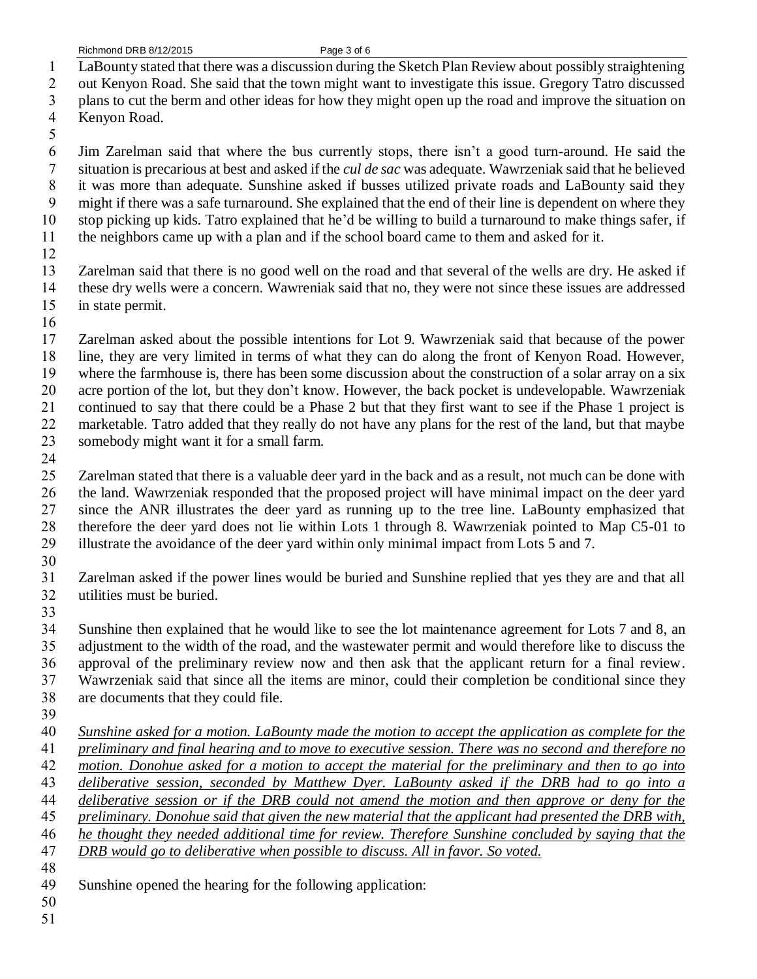- LaBounty stated that there was a discussion during the Sketch Plan Review about possibly straightening
- out Kenyon Road. She said that the town might want to investigate this issue. Gregory Tatro discussed
- plans to cut the berm and other ideas for how they might open up the road and improve the situation on
- Kenyon Road.
- 

 Jim Zarelman said that where the bus currently stops, there isn't a good turn-around. He said the situation is precarious at best and asked if the *cul de sac* was adequate. Wawrzeniak said that he believed it was more than adequate. Sunshine asked if busses utilized private roads and LaBounty said they might if there was a safe turnaround. She explained that the end of their line is dependent on where they stop picking up kids. Tatro explained that he'd be willing to build a turnaround to make things safer, if

- the neighbors came up with a plan and if the school board came to them and asked for it.
- 

 Zarelman said that there is no good well on the road and that several of the wells are dry. He asked if these dry wells were a concern. Wawreniak said that no, they were not since these issues are addressed in state permit.

 Zarelman asked about the possible intentions for Lot 9. Wawrzeniak said that because of the power line, they are very limited in terms of what they can do along the front of Kenyon Road. However, where the farmhouse is, there has been some discussion about the construction of a solar array on a six acre portion of the lot, but they don't know. However, the back pocket is undevelopable. Wawrzeniak continued to say that there could be a Phase 2 but that they first want to see if the Phase 1 project is marketable. Tatro added that they really do not have any plans for the rest of the land, but that maybe somebody might want it for a small farm.

 Zarelman stated that there is a valuable deer yard in the back and as a result, not much can be done with the land. Wawrzeniak responded that the proposed project will have minimal impact on the deer yard since the ANR illustrates the deer yard as running up to the tree line. LaBounty emphasized that therefore the deer yard does not lie within Lots 1 through 8. Wawrzeniak pointed to Map C5-01 to illustrate the avoidance of the deer yard within only minimal impact from Lots 5 and 7.

 Zarelman asked if the power lines would be buried and Sunshine replied that yes they are and that all utilities must be buried.

 Sunshine then explained that he would like to see the lot maintenance agreement for Lots 7 and 8, an adjustment to the width of the road, and the wastewater permit and would therefore like to discuss the approval of the preliminary review now and then ask that the applicant return for a final review. Wawrzeniak said that since all the items are minor, could their completion be conditional since they are documents that they could file.

 *Sunshine asked for a motion. LaBounty made the motion to accept the application as complete for the preliminary and final hearing and to move to executive session. There was no second and therefore no motion. Donohue asked for a motion to accept the material for the preliminary and then to go into* 

*deliberative session, seconded by Matthew Dyer. LaBounty asked if the DRB had to go into a* 

- *deliberative session or if the DRB could not amend the motion and then approve or deny for the preliminary. Donohue said that given the new material that the applicant had presented the DRB with,*
- *he thought they needed additional time for review. Therefore Sunshine concluded by saying that the*

- *DRB would go to deliberative when possible to discuss. All in favor. So voted.*
- 
- Sunshine opened the hearing for the following application:
-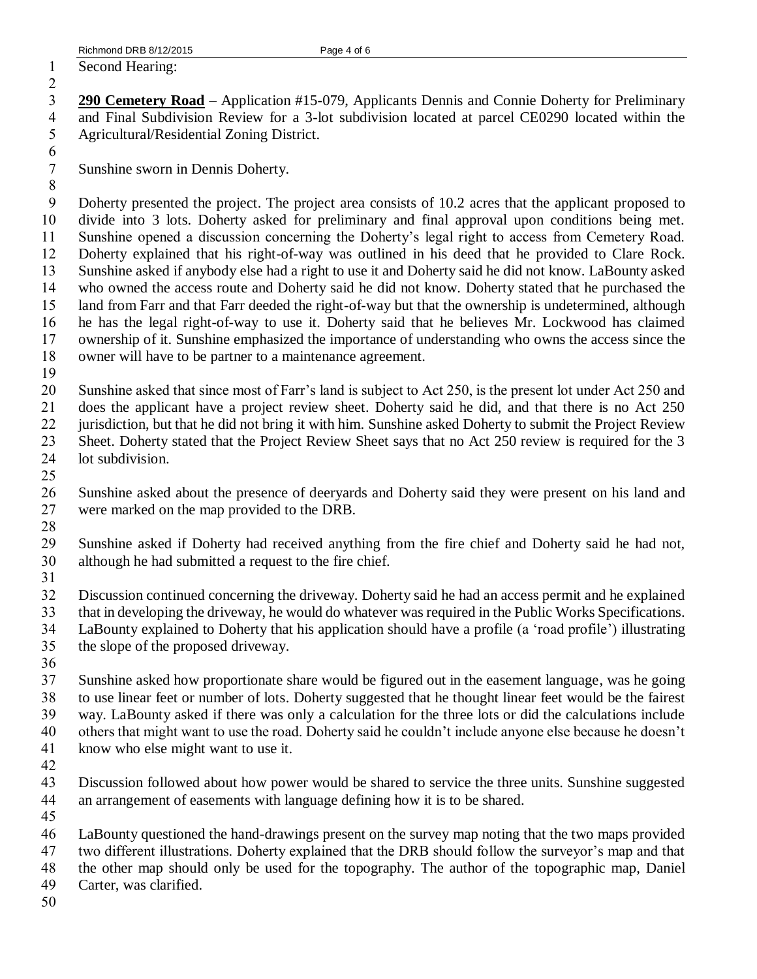Second Hearing:

## 

 **290 Cemetery Road** – Application #15-079, Applicants Dennis and Connie Doherty for Preliminary and Final Subdivision Review for a 3-lot subdivision located at parcel CE0290 located within the Agricultural/Residential Zoning District.

Sunshine sworn in Dennis Doherty.

- Doherty presented the project. The project area consists of 10.2 acres that the applicant proposed to divide into 3 lots. Doherty asked for preliminary and final approval upon conditions being met. Sunshine opened a discussion concerning the Doherty's legal right to access from Cemetery Road. Doherty explained that his right-of-way was outlined in his deed that he provided to Clare Rock. Sunshine asked if anybody else had a right to use it and Doherty said he did not know. LaBounty asked who owned the access route and Doherty said he did not know. Doherty stated that he purchased the land from Farr and that Farr deeded the right-of-way but that the ownership is undetermined, although he has the legal right-of-way to use it. Doherty said that he believes Mr. Lockwood has claimed ownership of it. Sunshine emphasized the importance of understanding who owns the access since the
- owner will have to be partner to a maintenance agreement.
- Sunshine asked that since most of Farr's land is subject to Act 250, is the present lot under Act 250 and does the applicant have a project review sheet. Doherty said he did, and that there is no Act 250 jurisdiction, but that he did not bring it with him. Sunshine asked Doherty to submit the Project Review Sheet. Doherty stated that the Project Review Sheet says that no Act 250 review is required for the 3 lot subdivision.
- 

 Sunshine asked about the presence of deeryards and Doherty said they were present on his land and were marked on the map provided to the DRB.

 Sunshine asked if Doherty had received anything from the fire chief and Doherty said he had not, although he had submitted a request to the fire chief.

 Discussion continued concerning the driveway. Doherty said he had an access permit and he explained that in developing the driveway, he would do whatever was required in the Public Works Specifications. LaBounty explained to Doherty that his application should have a profile (a 'road profile') illustrating the slope of the proposed driveway.

 Sunshine asked how proportionate share would be figured out in the easement language, was he going to use linear feet or number of lots. Doherty suggested that he thought linear feet would be the fairest way. LaBounty asked if there was only a calculation for the three lots or did the calculations include others that might want to use the road. Doherty said he couldn't include anyone else because he doesn't know who else might want to use it.

 Discussion followed about how power would be shared to service the three units. Sunshine suggested an arrangement of easements with language defining how it is to be shared.

 LaBounty questioned the hand-drawings present on the survey map noting that the two maps provided two different illustrations. Doherty explained that the DRB should follow the surveyor's map and that the other map should only be used for the topography. The author of the topographic map, Daniel

- Carter, was clarified.
-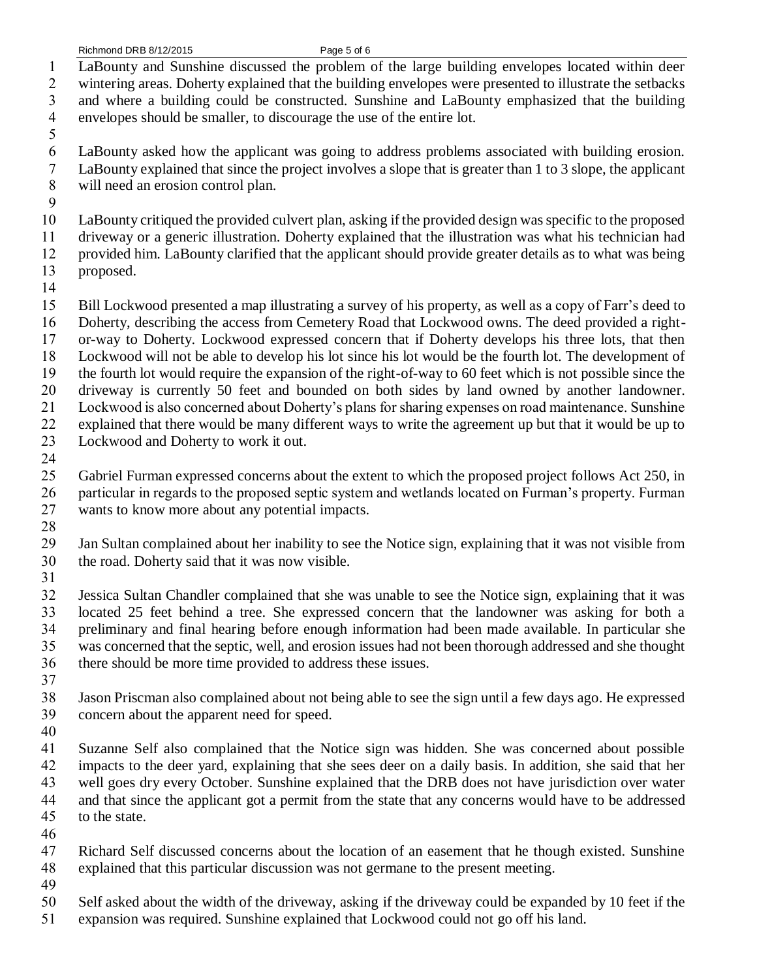LaBounty and Sunshine discussed the problem of the large building envelopes located within deer

wintering areas. Doherty explained that the building envelopes were presented to illustrate the setbacks

 and where a building could be constructed. Sunshine and LaBounty emphasized that the building envelopes should be smaller, to discourage the use of the entire lot.

LaBounty asked how the applicant was going to address problems associated with building erosion.

- LaBounty explained that since the project involves a slope that is greater than 1 to 3 slope, the applicant will need an erosion control plan.
- 

LaBounty critiqued the provided culvert plan, asking if the provided design was specific to the proposed

 driveway or a generic illustration. Doherty explained that the illustration was what his technician had provided him. LaBounty clarified that the applicant should provide greater details as to what was being

proposed.

 Bill Lockwood presented a map illustrating a survey of his property, as well as a copy of Farr's deed to Doherty, describing the access from Cemetery Road that Lockwood owns. The deed provided a right- or-way to Doherty. Lockwood expressed concern that if Doherty develops his three lots, that then Lockwood will not be able to develop his lot since his lot would be the fourth lot. The development of the fourth lot would require the expansion of the right-of-way to 60 feet which is not possible since the driveway is currently 50 feet and bounded on both sides by land owned by another landowner.

 Lockwood is also concerned about Doherty's plans for sharing expenses on road maintenance. Sunshine explained that there would be many different ways to write the agreement up but that it would be up to

- Lockwood and Doherty to work it out.
- 

 Gabriel Furman expressed concerns about the extent to which the proposed project follows Act 250, in particular in regards to the proposed septic system and wetlands located on Furman's property. Furman wants to know more about any potential impacts.

 Jan Sultan complained about her inability to see the Notice sign, explaining that it was not visible from the road. Doherty said that it was now visible.

 Jessica Sultan Chandler complained that she was unable to see the Notice sign, explaining that it was located 25 feet behind a tree. She expressed concern that the landowner was asking for both a preliminary and final hearing before enough information had been made available. In particular she was concerned that the septic, well, and erosion issues had not been thorough addressed and she thought there should be more time provided to address these issues.

 Jason Priscman also complained about not being able to see the sign until a few days ago. He expressed concern about the apparent need for speed.

 Suzanne Self also complained that the Notice sign was hidden. She was concerned about possible impacts to the deer yard, explaining that she sees deer on a daily basis. In addition, she said that her well goes dry every October. Sunshine explained that the DRB does not have jurisdiction over water and that since the applicant got a permit from the state that any concerns would have to be addressed to the state.

- Richard Self discussed concerns about the location of an easement that he though existed. Sunshine explained that this particular discussion was not germane to the present meeting.
- 

Self asked about the width of the driveway, asking if the driveway could be expanded by 10 feet if the

expansion was required. Sunshine explained that Lockwood could not go off his land.